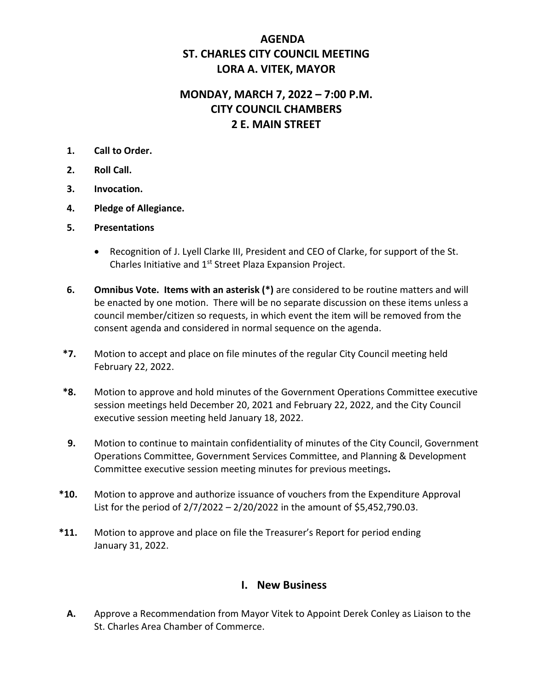## **AGENDA ST. CHARLES CITY COUNCIL MEETING LORA A. VITEK, MAYOR**

# **MONDAY, MARCH 7, 2022 – 7:00 P.M. CITY COUNCIL CHAMBERS 2 E. MAIN STREET**

- **1. Call to Order.**
- **2. Roll Call.**
- **3. Invocation.**
- **4. Pledge of Allegiance.**
- **5. Presentations**
	- Recognition of J. Lyell Clarke III, President and CEO of Clarke, for support of the St. Charles Initiative and 1<sup>st</sup> Street Plaza Expansion Project.
- **6. Omnibus Vote. Items with an asterisk (\*)** are considered to be routine matters and will be enacted by one motion. There will be no separate discussion on these items unless a council member/citizen so requests, in which event the item will be removed from the consent agenda and considered in normal sequence on the agenda.
- **\*7.** Motion to accept and place on file minutes of the regular City Council meeting held February 22, 2022.
- **\*8.** Motion to approve and hold minutes of the Government Operations Committee executive session meetings held December 20, 2021 and February 22, 2022, and the City Council executive session meeting held January 18, 2022.
- **9.** Motion to continue to maintain confidentiality of minutes of the City Council, Government Operations Committee, Government Services Committee, and Planning & Development Committee executive session meeting minutes for previous meetings**.**
- **\*10.** Motion to approve and authorize issuance of vouchers from the Expenditure Approval List for the period of  $2/7/2022 - 2/20/2022$  in the amount of \$5,452,790.03.
- **\*11.** Motion to approve and place on file the Treasurer's Report for period ending January 31, 2022.

### **I. New Business**

**A.** Approve a Recommendation from Mayor Vitek to Appoint Derek Conley as Liaison to the St. Charles Area Chamber of Commerce.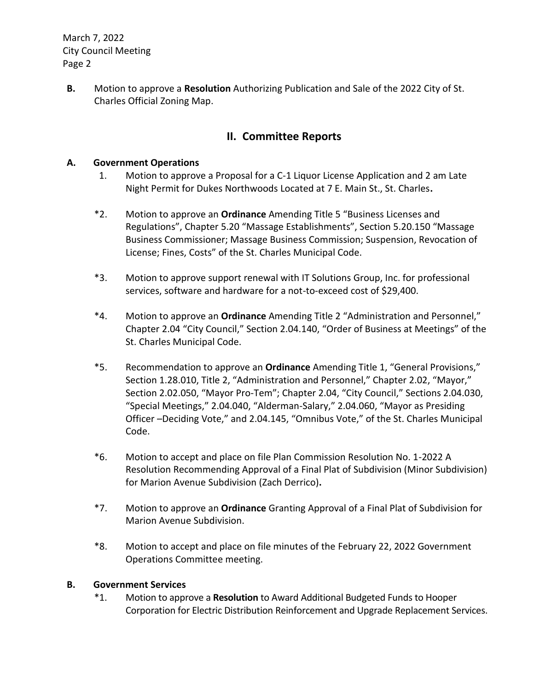March 7, 2022 City Council Meeting Page 2

**B.** Motion to approve a **Resolution** Authorizing Publication and Sale of the 2022 City of St. Charles Official Zoning Map.

## **II. Committee Reports**

### **A. Government Operations**

- 1. Motion to approve a Proposal for a C-1 Liquor License Application and 2 am Late Night Permit for Dukes Northwoods Located at 7 E. Main St., St. Charles**.**
- \*2. Motion to approve an **Ordinance** Amending Title 5 "Business Licenses and Regulations", Chapter 5.20 "Massage Establishments", Section 5.20.150 "Massage Business Commissioner; Massage Business Commission; Suspension, Revocation of License; Fines, Costs" of the St. Charles Municipal Code.
- \*3. Motion to approve support renewal with IT Solutions Group, Inc. for professional services, software and hardware for a not-to-exceed cost of \$29,400.
- \*4. Motion to approve an **Ordinance** Amending Title 2 "Administration and Personnel," Chapter 2.04 "City Council," Section 2.04.140, "Order of Business at Meetings" of the St. Charles Municipal Code.
- \*5. Recommendation to approve an **Ordinance** Amending Title 1, "General Provisions," Section 1.28.010, Title 2, "Administration and Personnel," Chapter 2.02, "Mayor," Section 2.02.050, "Mayor Pro-Tem"; Chapter 2.04, "City Council," Sections 2.04.030, "Special Meetings," 2.04.040, "Alderman-Salary," 2.04.060, "Mayor as Presiding Officer –Deciding Vote," and 2.04.145, "Omnibus Vote," of the St. Charles Municipal Code.
- \*6. Motion to accept and place on file Plan Commission Resolution No. 1-2022 A Resolution Recommending Approval of a Final Plat of Subdivision (Minor Subdivision) for Marion Avenue Subdivision (Zach Derrico)**.**
- \*7. Motion to approve an **Ordinance** Granting Approval of a Final Plat of Subdivision for Marion Avenue Subdivision.
- \*8. Motion to accept and place on file minutes of the February 22, 2022 Government Operations Committee meeting.

#### **B. Government Services**

\*1. Motion to approve a **Resolution** to Award Additional Budgeted Funds to Hooper Corporation for Electric Distribution Reinforcement and Upgrade Replacement Services.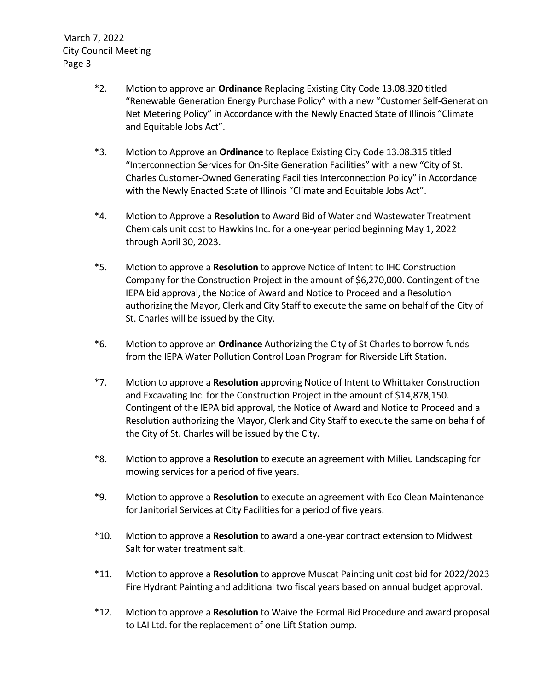March 7, 2022 City Council Meeting Page 3

- \*2. Motion to approve an **Ordinance** Replacing Existing City Code 13.08.320 titled "Renewable Generation Energy Purchase Policy" with a new "Customer Self-Generation Net Metering Policy" in Accordance with the Newly Enacted State of Illinois "Climate and Equitable Jobs Act".
- \*3. Motion to Approve an **Ordinance** to Replace Existing City Code 13.08.315 titled "Interconnection Services for On-Site Generation Facilities" with a new "City of St. Charles Customer-Owned Generating Facilities Interconnection Policy" in Accordance with the Newly Enacted State of Illinois "Climate and Equitable Jobs Act".
- \*4. Motion to Approve a **Resolution** to Award Bid of Water and Wastewater Treatment Chemicals unit cost to Hawkins Inc. for a one-year period beginning May 1, 2022 through April 30, 2023.
- \*5. Motion to approve a **Resolution** to approve Notice of Intent to IHC Construction Company for the Construction Project in the amount of \$6,270,000. Contingent of the IEPA bid approval, the Notice of Award and Notice to Proceed and a Resolution authorizing the Mayor, Clerk and City Staff to execute the same on behalf of the City of St. Charles will be issued by the City.
- \*6. Motion to approve an **Ordinance** Authorizing the City of St Charles to borrow funds from the IEPA Water Pollution Control Loan Program for Riverside Lift Station.
- \*7. Motion to approve a **Resolution** approving Notice of Intent to Whittaker Construction and Excavating Inc. for the Construction Project in the amount of \$14,878,150. Contingent of the IEPA bid approval, the Notice of Award and Notice to Proceed and a Resolution authorizing the Mayor, Clerk and City Staff to execute the same on behalf of the City of St. Charles will be issued by the City.
- \*8. Motion to approve a **Resolution** to execute an agreement with Milieu Landscaping for mowing services for a period of five years.
- \*9. Motion to approve a **Resolution** to execute an agreement with Eco Clean Maintenance for Janitorial Services at City Facilities for a period of five years.
- \*10. Motion to approve a **Resolution** to award a one-year contract extension to Midwest Salt for water treatment salt.
- \*11. Motion to approve a **Resolution** to approve Muscat Painting unit cost bid for 2022/2023 Fire Hydrant Painting and additional two fiscal years based on annual budget approval.
- \*12. Motion to approve a **Resolution** to Waive the Formal Bid Procedure and award proposal to LAI Ltd. for the replacement of one Lift Station pump.